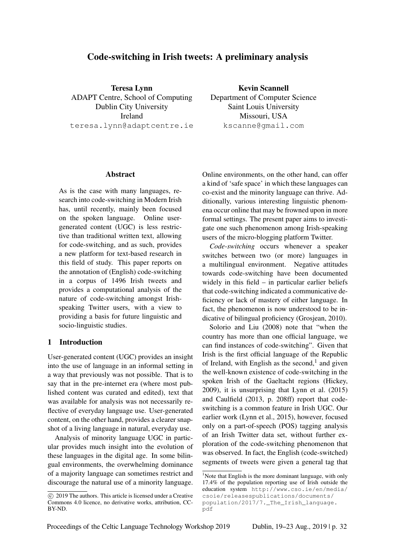# Code-switching in Irish tweets: A preliminary analysis

Teresa Lynn ADAPT Centre, School of Computing Dublin City University Ireland teresa.lynn@adaptcentre.ie

Kevin Scannell Department of Computer Science Saint Louis University Missouri, USA kscanne@gmail.com

#### Abstract

As is the case with many languages, research into code-switching in Modern Irish has, until recently, mainly been focused on the spoken language. Online usergenerated content (UGC) is less restrictive than traditional written text, allowing for code-switching, and as such, provides a new platform for text-based research in this field of study. This paper reports on the annotation of (English) code-switching in a corpus of 1496 Irish tweets and provides a computational analysis of the nature of code-switching amongst Irishspeaking Twitter users, with a view to providing a basis for future linguistic and socio-linguistic studies.

#### 1 Introduction

User-generated content (UGC) provides an insight into the use of language in an informal setting in a way that previously was not possible. That is to say that in the pre-internet era (where most published content was curated and edited), text that was available for analysis was not necessarily reflective of everyday language use. User-generated content, on the other hand, provides a clearer snapshot of a living language in natural, everyday use.

Analysis of minority language UGC in particular provides much insight into the evolution of these languages in the digital age. In some bilingual environments, the overwhelming dominance of a majority language can sometimes restrict and discourage the natural use of a minority language.

Online environments, on the other hand, can offer a kind of 'safe space' in which these languages can co-exist and the minority language can thrive. Additionally, various interesting linguistic phenomena occur online that may be frowned upon in more formal settings. The present paper aims to investigate one such phenomenon among Irish-speaking users of the micro-blogging platform Twitter.

*Code-switching* occurs whenever a speaker switches between two (or more) languages in a multilingual environment. Negative attitudes towards code-switching have been documented widely in this field – in particular earlier beliefs that code-switching indicated a communicative deficiency or lack of mastery of either language. In fact, the phenomenon is now understood to be indicative of bilingual proficiency (Grosjean, 2010).

Solorio and Liu (2008) note that "when the country has more than one official language, we can find instances of code-switching". Given that Irish is the first official language of the Republic of Ireland, with English as the second,<sup>1</sup> and given the well-known existence of code-switching in the spoken Irish of the Gaeltacht regions (Hickey, 2009), it is unsurprising that Lynn et al. (2015) and Caulfield (2013, p. 208ff) report that codeswitching is a common feature in Irish UGC. Our earlier work (Lynn et al., 2015), however, focused only on a part-of-speech (POS) tagging analysis of an Irish Twitter data set, without further exploration of the code-switching phenomenon that was observed. In fact, the English (code-switched) segments of tweets were given a general tag that

c 2019 The authors. This article is licensed under a Creative Commons 4.0 licence, no derivative works, attribution, CC-BY-ND.

<sup>&</sup>lt;sup>1</sup>Note that English is the more dominant language, with only 17.4% of the population reporting use of Irish outside the education system http://www.cso.ie/en/media/ csoie/releasespublications/documents/ population/2017/7.\_The\_Irish\_language. pdf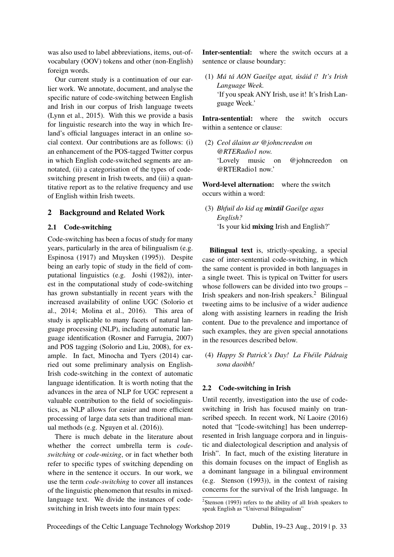was also used to label abbreviations, items, out-ofvocabulary (OOV) tokens and other (non-English) foreign words.

Our current study is a continuation of our earlier work. We annotate, document, and analyse the specific nature of code-switching between English and Irish in our corpus of Irish language tweets (Lynn et al., 2015). With this we provide a basis for linguistic research into the way in which Ireland's official languages interact in an online social context. Our contributions are as follows: (i) an enhancement of the POS-tagged Twitter corpus in which English code-switched segments are annotated, (ii) a categorisation of the types of codeswitching present in Irish tweets, and (iii) a quantitative report as to the relative frequency and use of English within Irish tweets.

## 2 Background and Related Work

#### 2.1 Code-switching

Code-switching has been a focus of study for many years, particularly in the area of bilingualism (e.g. Espinosa (1917) and Muysken (1995)). Despite being an early topic of study in the field of computational linguistics (e.g. Joshi (1982)), interest in the computational study of code-switching has grown substantially in recent years with the increased availability of online UGC (Solorio et al., 2014; Molina et al., 2016). This area of study is applicable to many facets of natural language processing (NLP), including automatic language identification (Rosner and Farrugia, 2007) and POS tagging (Solorio and Liu, 2008), for example. In fact, Minocha and Tyers (2014) carried out some preliminary analysis on English-Irish code-switching in the context of automatic language identification. It is worth noting that the advances in the area of NLP for UGC represent a valuable contribution to the field of sociolinguistics, as NLP allows for easier and more efficient processing of large data sets than traditional manual methods (e.g. Nguyen et al. (2016)).

There is much debate in the literature about whether the correct umbrella term is *codeswitching* or *code-mixing*, or in fact whether both refer to specific types of switching depending on where in the sentence it occurs. In our work, we use the term *code-switching* to cover all instances of the linguistic phenomenon that results in mixedlanguage text. We divide the instances of codeswitching in Irish tweets into four main types:

Inter-sentential: where the switch occurs at a sentence or clause boundary:

(1) *Ma t ´ a AON Gaeilge agat, ´ us´ aid ´ ´ı! It's Irish Language Week.* 'If you speak ANY Irish, use it! It's Irish Language Week.'

Intra-sentential: where the switch occurs within a sentence or clause:

(2) *Ceol alainn ar @johncreedon on ´ @RTERadio1 now.* 'Lovely music on @johncreedon on @RTERadio1 now.'

Word-level alternation: where the switch occurs within a word:

(3) *Bhfuil do kid ag mixail ´ Gaeilge agus English?* 'Is your kid mixing Irish and English?'

Bilingual text is, strictly-speaking, a special case of inter-sentential code-switching, in which the same content is provided in both languages in a single tweet. This is typical on Twitter for users whose followers can be divided into two groups – Irish speakers and non-Irish speakers.<sup>2</sup> Bilingual tweeting aims to be inclusive of a wider audience along with assisting learners in reading the Irish content. Due to the prevalence and importance of such examples, they are given special annotations in the resources described below.

(4) *Happy St Patrick's Day! La Fheile P ´ adraig ´ sona daoibh!*

### 2.2 Code-switching in Irish

Until recently, investigation into the use of codeswitching in Irish has focused mainly on transcribed speech. In recent work, Ní Laoire (2016) noted that "[code-switching] has been underrepresented in Irish language corpora and in linguistic and dialectological description and analysis of Irish". In fact, much of the existing literature in this domain focuses on the impact of English as a dominant language in a bilingual environment (e.g. Stenson (1993)), in the context of raising concerns for the survival of the Irish language. In

 $2$ Stenson (1993) refers to the ability of all Irish speakers to speak English as "Universal Bilingualism"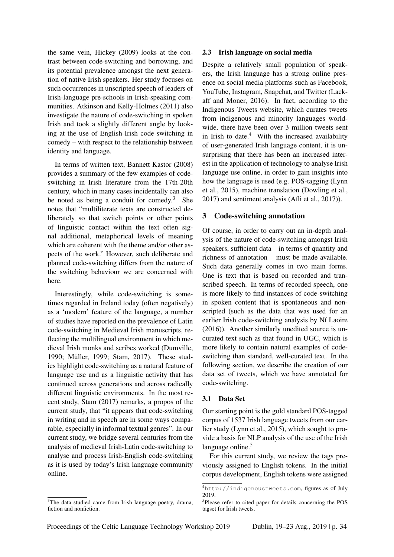the same vein, Hickey (2009) looks at the contrast between code-switching and borrowing, and its potential prevalence amongst the next generation of native Irish speakers. Her study focuses on such occurrences in unscripted speech of leaders of Irish-language pre-schools in Irish-speaking communities. Atkinson and Kelly-Holmes (2011) also investigate the nature of code-switching in spoken Irish and took a slightly different angle by looking at the use of English-Irish code-switching in comedy – with respect to the relationship between identity and language.

In terms of written text, Bannett Kastor (2008) provides a summary of the few examples of codeswitching in Irish literature from the 17th-20th century, which in many cases incidentally can also be noted as being a conduit for comedy. $3$  She notes that "multiliterate texts are constructed deliberately so that switch points or other points of linguistic contact within the text often signal additional, metaphorical levels of meaning which are coherent with the theme and/or other aspects of the work." However, such deliberate and planned code-switching differs from the nature of the switching behaviour we are concerned with here.

Interestingly, while code-switching is sometimes regarded in Ireland today (often negatively) as a 'modern' feature of the language, a number of studies have reported on the prevalence of Latin code-switching in Medieval Irish manuscripts, reflecting the multilingual environment in which medieval Irish monks and scribes worked (Dumville, 1990; Müller, 1999; Stam, 2017). These studies highlight code-switching as a natural feature of language use and as a linguistic activity that has continued across generations and across radically different linguistic environments. In the most recent study, Stam (2017) remarks, a propos of the current study, that "it appears that code-switching in writing and in speech are in some ways comparable, especially in informal textual genres". In our current study, we bridge several centuries from the analysis of medieval Irish-Latin code-switching to analyse and process Irish-English code-switching as it is used by today's Irish language community online.

#### <sup>3</sup>The data studied came from Irish language poetry, drama, fiction and nonfiction.

#### 2.3 Irish language on social media

Despite a relatively small population of speakers, the Irish language has a strong online presence on social media platforms such as Facebook, YouTube, Instagram, Snapchat, and Twitter (Lackaff and Moner, 2016). In fact, according to the Indigenous Tweets website, which curates tweets from indigenous and minority languages worldwide, there have been over 3 million tweets sent in Irish to date.<sup>4</sup> With the increased availability of user-generated Irish language content, it is unsurprising that there has been an increased interest in the application of technology to analyse Irish language use online, in order to gain insights into how the language is used (e.g. POS-tagging (Lynn et al., 2015), machine translation (Dowling et al., 2017) and sentiment analysis (Afli et al., 2017)).

# 3 Code-switching annotation

Of course, in order to carry out an in-depth analysis of the nature of code-switching amongst Irish speakers, sufficient data – in terms of quantity and richness of annotation – must be made available. Such data generally comes in two main forms. One is text that is based on recorded and transcribed speech. In terms of recorded speech, one is more likely to find instances of code-switching in spoken content that is spontaneous and nonscripted (such as the data that was used for an earlier Irish code-switching analysis by Ní Laoire (2016)). Another similarly unedited source is uncurated text such as that found in UGC, which is more likely to contain natural examples of codeswitching than standard, well-curated text. In the following section, we describe the creation of our data set of tweets, which we have annotated for code-switching.

### 3.1 Data Set

Our starting point is the gold standard POS-tagged corpus of 1537 Irish language tweets from our earlier study (Lynn et al., 2015), which sought to provide a basis for NLP analysis of the use of the Irish language online.<sup>5</sup>

For this current study, we review the tags previously assigned to English tokens. In the initial corpus development, English tokens were assigned

<sup>4</sup>http://indigenoustweets.com, figures as of July 2019.

<sup>5</sup> Please refer to cited paper for details concerning the POS tagset for Irish tweets.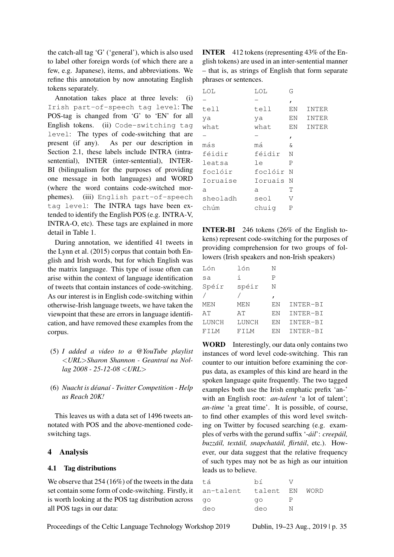the catch-all tag 'G' ('general'), which is also used to label other foreign words (of which there are a few, e.g. Japanese), items, and abbreviations. We refine this annotation by now annotating English tokens separately.

Annotation takes place at three levels: (i) Irish part-of-speech tag level: The POS-tag is changed from 'G' to 'EN' for all English tokens. (ii) Code-switching tag level: The types of code-switching that are present (if any). As per our description in Section 2.1, these labels include INTRA (intrasentential), INTER (inter-sentential), INTER-BI (bilingualism for the purposes of providing one message in both languages) and WORD (where the word contains code-switched morphemes). (iii) English part-of-speech tag level: The INTRA tags have been extended to identify the English POS (e.g. INTRA-V, INTRA-O, etc). These tags are explained in more detail in Table 1.

During annotation, we identified 41 tweets in the Lynn et al. (2015) corpus that contain both English and Irish words, but for which English was the matrix language. This type of issue often can arise within the context of language identification of tweets that contain instances of code-switching. As our interest is in English code-switching within otherwise-Irish language tweets, we have taken the viewpoint that these are errors in language identification, and have removed these examples from the corpus.

- (5) *I added a video to a @YouTube playlist* <*URL*>*Sharon Shannon - Geantra´ı na Nollag 2008 - 25-12-08* <*URL*>
- (6) *Nuacht is deana ´ ´ı Twitter Competition Help us Reach 20K!*

This leaves us with a data set of 1496 tweets annotated with POS and the above-mentioned codeswitching tags.

### 4 Analysis

### 4.1 Tag distributions

We observe that 254 (16%) of the tweets in the data set contain some form of code-switching. Firstly, it is worth looking at the POS tag distribution across all POS tags in our data:

INTER 412 tokens (representing 43% of the English tokens) are used in an inter-sentential manner – that is, as strings of English that form separate phrases or sentences.

| LOL      | LOL       | G            |              |
|----------|-----------|--------------|--------------|
|          |           | $\mathbf{r}$ |              |
| tell     | tell      | ΕN           | <b>INTER</b> |
| ya       | ya        | ΕN           | <b>INTER</b> |
| what     | what.     | ΕN           | INTER        |
|          |           | $\mathbf{r}$ |              |
| más      | má        | ି ଧ          |              |
| féidir   | féidir    | N            |              |
| leatsa   | le        | P            |              |
| foclóir  | foclóir N |              |              |
| Ioruaise | Ioruais N |              |              |
| a        | a         | Т            |              |
| sheoladh | seol      | V            |              |
| chúm     | chuig     | P            |              |
|          |           |              |              |

INTER-BI 246 tokens (26% of the English tokens) represent code-switching for the purposes of providing comprehension for two groups of followers (Irish speakers and non-Irish speakers)

| Lón   | lón        | N   |          |
|-------|------------|-----|----------|
| sa    | i.         | Ρ   |          |
| Spéír | spéir      | Ν   |          |
|       |            | ı   |          |
| MEN   | <b>MEN</b> | ΕN  | INTER-BI |
| AΤ    | AΤ         | EN  | INTER-BI |
| LUNCH | LUNCH      | EN  | INTER-BI |
| FTT.M | FTT.M      | F.N | INTER-BI |

WORD Interestingly, our data only contains two instances of word level code-switching. This ran counter to our intuition before examining the corpus data, as examples of this kind are heard in the spoken language quite frequently. The two tagged examples both use the Irish emphatic prefix 'an-' with an English root: *an-talent* 'a lot of talent'; *an-time* 'a great time'. It is possible, of course, to find other examples of this word level switching on Twitter by focused searching (e.g. examples of verbs with the gerund suffix '-*áil'* : *creepáil*, *buzzail, text ´ ail, snapchat ´ ail, flirt ´ ail ´* , etc.). However, our data suggest that the relative frequency of such types may not be as high as our intuition leads us to believe.

| tá        | bí        |   |      |
|-----------|-----------|---|------|
| an-talent | talent EN |   | WORD |
| qo        | qo        |   |      |
| deo       | deo       | N |      |

Proceedings of the Celtic Language Technology Workshop 2019 Dublin, 19–23 Aug., 2019 | p. 35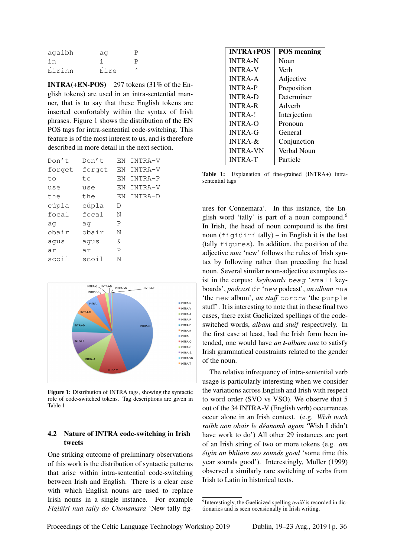| agaibh | aq   |  |
|--------|------|--|
| in     |      |  |
| Éirinn | Éire |  |

INTRA(+EN-POS) 297 tokens (31% of the English tokens) are used in an intra-sentential manner, that is to say that these English tokens are inserted comfortably within the syntax of Irish phrases. Figure 1 shows the distribution of the EN POS tags for intra-sentential code-switching. This feature is of the most interest to us, and is therefore described in more detail in the next section.

| Don't  | Don't  | EN  | INTRA-V |
|--------|--------|-----|---------|
| forget | forget | F.N | INTRA-V |
| to     | to     | F.N | INTRA-P |
| use    | use    | EN  | INTRA-V |
| the    | the    | F.N | INTRA-D |
| cúpla  | cúpla  | D   |         |
| focal  | focal  | N   |         |
| aq     | aq     | P   |         |
| obair  | obair  | N   |         |
| aqus   | aqus   | &   |         |
| ar     | ar     | P   |         |
| scoil  | scoil  | N   |         |
|        |        |     |         |



Figure 1: Distribution of INTRA tags, showing the syntactic role of code-switched tokens. Tag descriptions are given in Table 1

### 4.2 Nature of INTRA code-switching in Irish tweets

One striking outcome of preliminary observations of this work is the distribution of syntactic patterns that arise within intra-sentential code-switching between Irish and English. There is a clear ease with which English nouns are used to replace Irish nouns in a single instance. For example *Figiúirí nua tally do Chonamara* 'New tally fig-

| <b>INTRA+POS</b> | <b>POS</b> meaning |
|------------------|--------------------|
| <b>INTRA-N</b>   | Noun               |
| <b>INTRA-V</b>   | Verh               |
| <b>INTRA-A</b>   | Adjective          |
| <b>INTRA-P</b>   | Preposition        |
| <b>INTRA-D</b>   | Determiner         |
| <b>INTRA-R</b>   | Adverb             |
| $INTRA-!$        | Interjection       |
| <b>INTRA-O</b>   | Pronoun            |
| <b>INTRA-G</b>   | General            |
| INTRA- $\&$      | Conjunction        |
| <b>INTRA-VN</b>  | Verbal Noun        |
| <b>INTRA-T</b>   | Particle           |

Table 1: Explanation of fine-grained (INTRA+) intrasentential tags

ures for Connemara'. In this instance, the English word 'tally' is part of a noun compound.<sup>6</sup> In Irish, the head of noun compound is the first noun (figiúirí tally) – in English it is the last (tally figures). In addition, the position of the adjective *nua* 'new' follows the rules of Irish syntax by following rather than preceding the head noun. Several similar noun-adjective examples exist in the corpus: *keyboards* beag 'small keyboards', *podcast* úr 'new podcast', *an album* nua 'the new album', *an stuff* corcra 'the purple stuff'. It is interesting to note that in these final two cases, there exist Gaelicized spellings of the codeswitched words, *albam* and *stuif* respectively. In the first case at least, had the Irish form been intended, one would have *an t-albam nua* to satisfy Irish grammatical constraints related to the gender of the noun.

The relative infrequency of intra-sentential verb usage is particularly interesting when we consider the variations across English and Irish with respect to word order (SVO vs VSO). We observe that 5 out of the 34 INTRA-V (English verb) occurrences occur alone in an Irish context. (e.g. *Wish nach raibh aon obair le deanamh agam ´* 'Wish I didn't have work to do') All other 29 instances are part of an Irish string of two or more tokens (e.g. *am eigin an bhliain seo sounds good ´* 'some time this year sounds good'). Interestingly, Müller (1999) observed a similarly rare switching of verbs from Irish to Latin in historical texts.

<sup>&</sup>lt;sup>6</sup>Interestingly, the Gaelicized spelling *teailí* is recorded in dictionaries and is seen occasionally in Irish writing.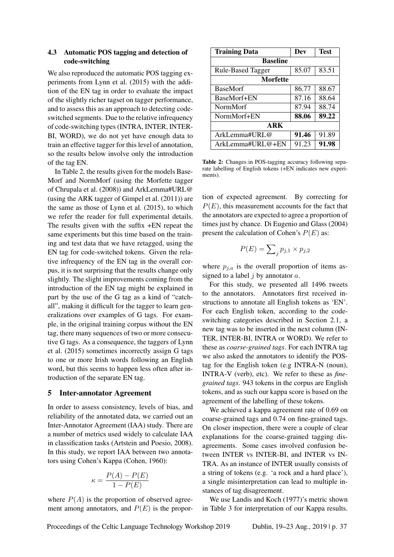### 4.3 Automatic POS tagging and detection of code-switching

We also reproduced the automatic POS tagging experiments from Lynn et al. (2015) with the addition of the EN tag in order to evaluate the impact of the slightly richer tagset on tagger performance, and to assess this as an approach to detecting codeswitched segments. Due to the relative infrequency of code-switching types (INTRA, INTER, INTER-BI, WORD), we do not yet have enough data to train an effective tagger for this level of annotation, so the results below involve only the introduction of the tag EN.

In Table 2, the results given for the models Base-Morf and NormMorf (using the Morfette tagger of Chrupala et al. (2008)) and ArkLemma#URL@ (using the ARK tagger of Gimpel et al. (2011)) are the same as those of Lynn et al. (2015), to which we refer the reader for full experimental details. The results given with the suffix +EN repeat the same experiments but this time based on the training and test data that we have retagged, using the EN tag for code-switched tokens. Given the relative infrequency of the EN tag in the overall corpus, it is not surprising that the results change only slightly. The slight improvements coming from the introduction of the EN tag might be explained in part by the use of the G tag as a kind of "catchall", making it difficult for the tagger to learn generalizations over examples of G tags. For example, in the original training corpus without the EN tag, there many sequences of two or more consecutive G tags. As a consequence, the taggers of Lynn et al. (2015) sometimes incorrectly assign G tags to one or more Irish words following an English word, but this seems to happen less often after introduction of the separate EN tag.

#### 5 Inter-annotator Agreement

In order to assess consistency, levels of bias, and reliability of the annotated data, we carried out an Inter-Annotator Agreement (IAA) study. There are a number of metrics used widely to calculate IAA in classification tasks (Artstein and Poesio, 2008). In this study, we report IAA between two annotators using Cohen's Kappa (Cohen, 1960):

$$
\kappa = \frac{P(A) - P(E)}{1 - P(E)}
$$

where  $P(A)$  is the proportion of observed agreement among annotators, and  $P(E)$  is the propor-

| <b>Training Data</b>     | Dev   | <b>Test</b> |  |  |
|--------------------------|-------|-------------|--|--|
| <b>Baseline</b>          |       |             |  |  |
| <b>Rule-Based Tagger</b> | 85.07 | 83.51       |  |  |
| <b>Morfette</b>          |       |             |  |  |
| <b>BaseMorf</b>          | 86.77 | 88.67       |  |  |
| BaseMorf+EN              | 87.16 | 88.64       |  |  |
| NormMorf                 | 87.94 | 88.74       |  |  |
| NormMorf+EN              | 88.06 | 89.22       |  |  |
| ARK                      |       |             |  |  |
| ArkLemma#URL@            | 91.46 | 91.89       |  |  |
| ArkLemma#URL@+EN         | 91.23 | 91.98       |  |  |

Table 2: Changes in POS-tagging accuracy following separate labelling of English tokens (+EN indicates new experiments).

tion of expected agreement. By correcting for  $P(E)$ , this measurement accounts for the fact that the annotators are expected to agree a proportion of times just by chance. Di Eugenio and Glass (2004) present the calculation of Cohen's  $P(E)$  as:

$$
P(E) = \sum_{j} p_{j,1} \times p_{j,2}
$$

where  $p_{j,a}$  is the overall proportion of items assigned to a label  $j$  by annotator  $a$ .

For this study, we presented all 1496 tweets to the annotators. Annotators first received instructions to annotate all English tokens as 'EN'. For each English token, according to the codeswitching categories described in Section 2.1, a new tag was to be inserted in the next column (IN-TER, INTER-BI, INTRA or WORD). We refer to these as *coarse-grained tags*. For each INTRA tag we also asked the annotators to identify the POStag for the English token (e.g INTRA-N (noun), INTRA-V (verb), etc). We refer to these as *finegrained tags*. 943 tokens in the corpus are English tokens, and as such our kappa score is based on the agreement of the labelling of these tokens.

We achieved a kappa agreement rate of 0.69 on coarse-grained tags and 0.74 on fine-grained tags. On closer inspection, there were a couple of clear explanations for the coarse-grained tagging disagreements. Some cases involved confusion between INTER vs INTER-BI, and INTER vs IN-TRA. As an instance of INTER usually consists of a string of tokens (e.g. 'a rock and a hard place'), a single misinterpretation can lead to multiple instances of tag disagreement.

We use Landis and Koch (1977)'s metric shown in Table 3 for interpretation of our Kappa results.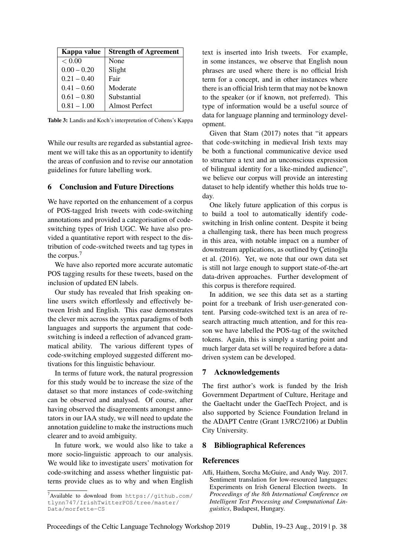| Kappa value   | <b>Strength of Agreement</b> |
|---------------|------------------------------|
| < 0.00        | None                         |
| $0.00 - 0.20$ | Slight                       |
| $0.21 - 0.40$ | Fair                         |
| $0.41 - 0.60$ | Moderate                     |
| $0.61 - 0.80$ | Substantial                  |
| $0.81 - 1.00$ | <b>Almost Perfect</b>        |

Table 3: Landis and Koch's interpretation of Cohens's Kappa

While our results are regarded as substantial agreement we will take this as an opportunity to identify the areas of confusion and to revise our annotation guidelines for future labelling work.

#### 6 Conclusion and Future Directions

We have reported on the enhancement of a corpus of POS-tagged Irish tweets with code-switching annotations and provided a categorisation of codeswitching types of Irish UGC. We have also provided a quantitative report with respect to the distribution of code-switched tweets and tag types in the corpus.<sup>7</sup>

We have also reported more accurate automatic POS tagging results for these tweets, based on the inclusion of updated EN labels.

Our study has revealed that Irish speaking online users switch effortlessly and effectively between Irish and English. This ease demonstrates the clever mix across the syntax paradigms of both languages and supports the argument that codeswitching is indeed a reflection of advanced grammatical ability. The various different types of code-switching employed suggested different motivations for this linguistic behaviour.

In terms of future work, the natural progression for this study would be to increase the size of the dataset so that more instances of code-switching can be observed and analysed. Of course, after having observed the disagreements amongst annotators in our IAA study, we will need to update the annotation guideline to make the instructions much clearer and to avoid ambiguity.

In future work, we would also like to take a more socio-linguistic approach to our analysis. We would like to investigate users' motivation for code-switching and assess whether linguistic patterns provide clues as to why and when English text is inserted into Irish tweets. For example, in some instances, we observe that English noun phrases are used where there is no official Irish term for a concept, and in other instances where there is an official Irish term that may not be known to the speaker (or if known, not preferred). This type of information would be a useful source of data for language planning and terminology development.

Given that Stam (2017) notes that "it appears that code-switching in medieval Irish texts may be both a functional communicative device used to structure a text and an unconscious expression of bilingual identity for a like-minded audience", we believe our corpus will provide an interesting dataset to help identify whether this holds true today.

One likely future application of this corpus is to build a tool to automatically identify codeswitching in Irish online content. Despite it being a challenging task, there has been much progress in this area, with notable impact on a number of downstream applications, as outlined by Cetinoğlu et al. (2016). Yet, we note that our own data set is still not large enough to support state-of-the-art data-driven approaches. Further development of this corpus is therefore required.

In addition, we see this data set as a starting point for a treebank of Irish user-generated content. Parsing code-switched text is an area of research attracting much attention, and for this reason we have labelled the POS-tag of the switched tokens. Again, this is simply a starting point and much larger data set will be required before a datadriven system can be developed.

#### 7 Acknowledgements

The first author's work is funded by the Irish Government Department of Culture, Heritage and the Gaeltacht under the GaelTech Project, and is also supported by Science Foundation Ireland in the ADAPT Centre (Grant 13/RC/2106) at Dublin City University.

### 8 Bibliographical References

#### **References**

 $7$ Available to download from https://github.com/ tlynn747/IrishTwitterPOS/tree/master/ Data/morfette-CS

Afli, Haithem, Sorcha McGuire, and Andy Way. 2017. Sentiment translation for low-resourced languages: Experiments on Irish General Election tweets. In *Proceedings of the 8th International Conference on Intelligent Text Processing and Computational Linguistics*, Budapest, Hungary.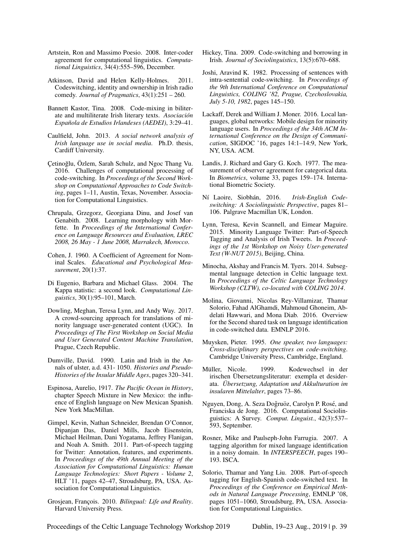- Artstein, Ron and Massimo Poesio. 2008. Inter-coder agreement for computational linguistics. *Computational Linguistics*, 34(4):555–596, December.
- Atkinson, David and Helen Kelly-Holmes. 2011. Codeswitching, identity and ownership in Irish radio comedy. *Journal of Pragmatics*, 43(1):251 – 260.
- Bannett Kastor, Tina. 2008. Code-mixing in biliterate and multiliterate Irish literary texts. *Asociacion´ Espanola de Estudios Irlandeses (AEDEI) ˜* , 3:29–41.
- Caulfield, John. 2013. *A social network analysis of Irish language use in social media*. Ph.D. thesis, Cardiff University.
- Cetinoğlu, Özlem, Sarah Schulz, and Ngoc Thang Vu. 2016. Challenges of computational processing of code-switching. In *Proceedings of the Second Workshop on Computational Approaches to Code Switching*, pages 1–11, Austin, Texas, November. Association for Computational Linguistics.
- Chrupala, Grzegorz, Georgiana Dinu, and Josef van Genabith. 2008. Learning morphology with Morfette. In *Proceedings of the International Conference on Language Resources and Evaluation, LREC 2008, 26 May - 1 June 2008, Marrakech, Morocco*.
- Cohen, J. 1960. A Coefficient of Agreement for Nominal Scales. *Educational and Psychological Measurement*, 20(1):37.
- Di Eugenio, Barbara and Michael Glass. 2004. The Kappa statistic: a second look. *Computational Linguistics*, 30(1):95–101, March.
- Dowling, Meghan, Teresa Lynn, and Andy Way. 2017. A crowd-sourcing approach for translations of minority language user-generated content (UGC). In *Proceedings of The First Workshop on Social Media and User Generated Content Machine Translation*, Prague, Czech Republic.
- Dumville, David. 1990. Latin and Irish in the Annals of ulster, a.d. 431- 1050. *Histories and Pseudo-Histories of the Insular Middle Ages*, pages 320–341.
- Espinosa, Aurelio, 1917. *The Pacific Ocean in History*, chapter Speech Mixture in New Mexico: the influence of English language on New Mexican Spanish. New York MacMillan.
- Gimpel, Kevin, Nathan Schneider, Brendan O'Connor, Dipanjan Das, Daniel Mills, Jacob Eisenstein, Michael Heilman, Dani Yogatama, Jeffrey Flanigan, and Noah A. Smith. 2011. Part-of-speech tagging for Twitter: Annotation, features, and experiments. In *Proceedings of the 49th Annual Meeting of the Association for Computational Linguistics: Human Language Technologies: Short Papers - Volume 2*, HLT '11, pages 42–47, Stroudsburg, PA, USA. Association for Computational Linguistics.
- Grosjean, François. 2010. *Bilingual: Life and Reality*. Harvard University Press.
- Hickey, Tina. 2009. Code-switching and borrowing in Irish. *Journal of Sociolinguistics*, 13(5):670–688.
- Joshi, Aravind K. 1982. Processing of sentences with intra-sentential code-switching. In *Proceedings of the 9th International Conference on Computational Linguistics, COLING '82, Prague, Czechoslovakia, July 5-10, 1982*, pages 145–150.
- Lackaff, Derek and William J. Moner. 2016. Local languages, global networks: Mobile design for minority language users. In *Proceedings of the 34th ACM International Conference on the Design of Communication*, SIGDOC '16, pages 14:1–14:9, New York, NY, USA. ACM.
- Landis, J. Richard and Gary G. Koch. 1977. The measurement of observer agreement for categorical data. In *Biometrics*, volume 33, pages 159–174. International Biometric Society.
- Ní Laoire, Siobhán, 2016. Irish-English Code*switching: A Sociolinguistic Perspective*, pages 81– 106. Palgrave Macmillan UK, London.
- Lynn, Teresa, Kevin Scannell, and Eimear Maguire. 2015. Minority Language Twitter: Part-of-Speech Tagging and Analysis of Irish Tweets. In *Proceedings of the 1st Workshop on Noisy User-generated Text (W-NUT 2015)*, Beijing, China.
- Minocha, Akshay and Francis M. Tyers. 2014. Subsegmental language detection in Celtic language text. In *Proceedings of the Celtic Language Technology Workshop (CLTW), co-located with COLING 2014*.
- Molina, Giovanni, Nicolas Rey-Villamizar, Thamar Solorio, Fahad AlGhamdi, Mahmoud Ghoneim, Abdelati Hawwari, and Mona Diab. 2016. Overview for the Second shared task on language identification in code-switched data. EMNLP 2016.
- Muysken, Pieter. 1995. *One speaker, two languages: Cross-disciplinary perspectives on code-switching*. Cambridge University Press, Cambridge, England.
- Müller, Nicole. 1999. Kodewechsel in der irischen Übersetzungsliteratur: exempla et desiderata. *Ubersetzung, Adaptation und Akkulturation im ¨ insularen Mittelalter*, pages 73–86.
- Nguyen, Dong, A. Seza Doğruöz, Carolyn P. Rosé, and Franciska de Jong. 2016. Computational Sociolinguistics: A Survey. *Comput. Linguist.*, 42(3):537– 593, September.
- Rosner, Mike and Paulseph-John Farrugia. 2007. A tagging algorithm for mixed language identification in a noisy domain. In *INTERSPEECH*, pages 190– 193. ISCA.
- Solorio, Thamar and Yang Liu. 2008. Part-of-speech tagging for English-Spanish code-switched text. In *Proceedings of the Conference on Empirical Methods in Natural Language Processing*, EMNLP '08, pages 1051–1060, Stroudsburg, PA, USA. Association for Computational Linguistics.